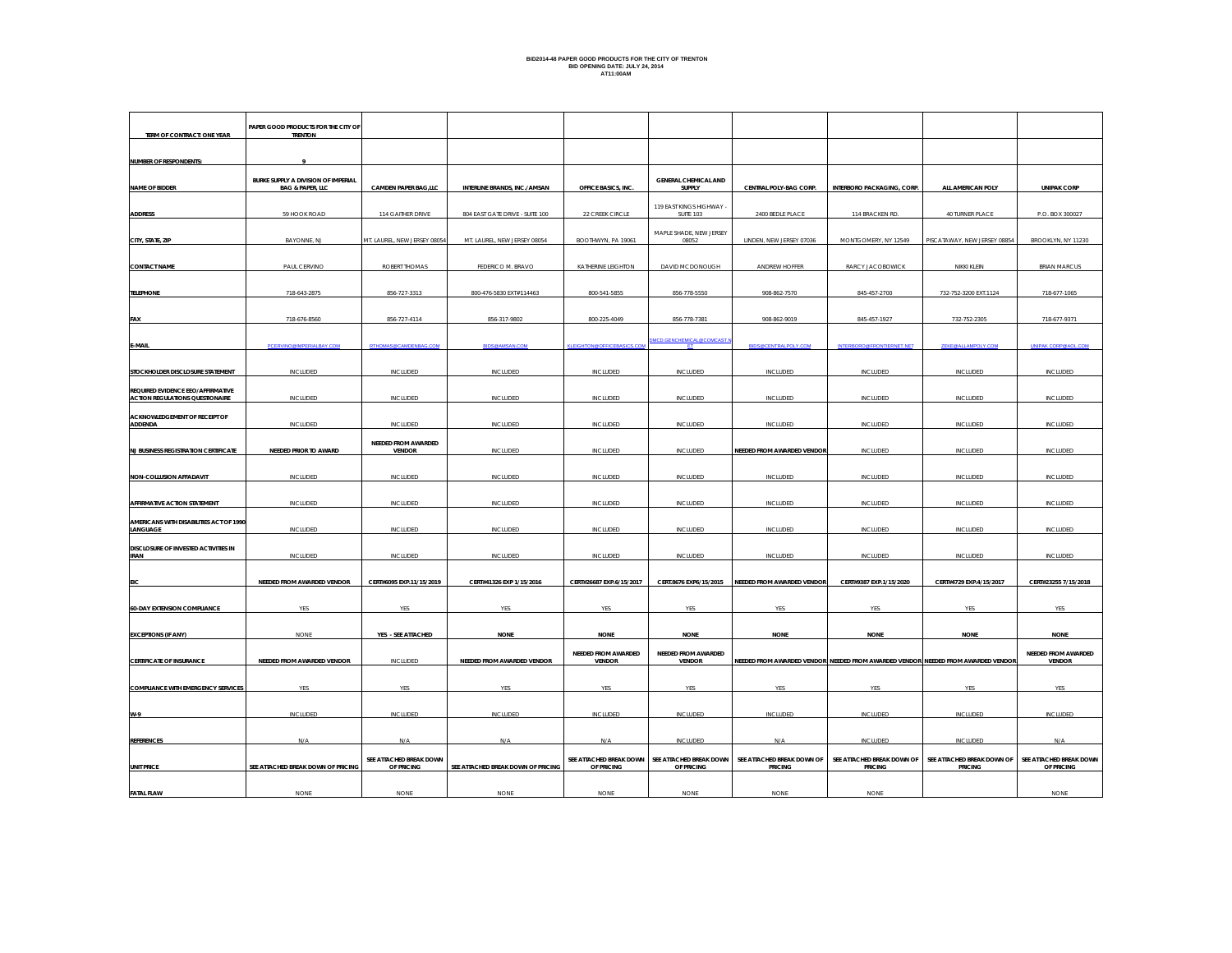# **BID2014-48 PAPER GOOD PRODUCTS FOR THE CITY OF TRENTON BID OPENING DATE: JULY 24, 2014 AT11:00AM**

| TERM OF CONTRACT: ONE YEAR                                                  | PAPER GOOD PRODUCTS FOR THE CITY OF<br><b>TRENTON</b>              |                                       |                                           |                                                     |                                              |                                                                                                 |                                              |                                              |                                                     |
|-----------------------------------------------------------------------------|--------------------------------------------------------------------|---------------------------------------|-------------------------------------------|-----------------------------------------------------|----------------------------------------------|-------------------------------------------------------------------------------------------------|----------------------------------------------|----------------------------------------------|-----------------------------------------------------|
| <b>NUMBER OF RESPONDENTS:</b>                                               |                                                                    |                                       |                                           |                                                     |                                              |                                                                                                 |                                              |                                              |                                                     |
| <b>NAME OF BIDDER</b>                                                       | BURKE SUPPLY A DIVISION OF IMPERIAL<br><b>BAG &amp; PAPER, LLC</b> | <b>CAMDEN PAPER BAG,LLC</b>           | INTERLINE BRANDS, INC./AMSAN              | OFFICE BASICS, INC.                                 | GENERAL CHEMICAL AND<br>SUPPLY               | CENTRAL POLY-BAG CORP.                                                                          | INTERBORO PACKAGING, CORP.                   | ALL AMERICAN POLY                            | <b>UNIPAK CORP</b>                                  |
| <b>ADDRESS</b>                                                              | 59 HOOK ROAD                                                       | 114 GAITHER DRIVE                     | 804 EAST GATE DRIVE - SUITE 100           | 22 CREEK CIRCLE                                     | 119 EAST KINGS HIGHWAY -<br>SUITE 103        | 2400 BEDLE PLACE                                                                                | 114 BRACKEN RD.                              | 40 TURNER PLACE                              | P.O. BOX 300027                                     |
| CITY, STATE, ZIP                                                            | BAYONNE, NJ                                                        | MT. LAUREL, NEW JERSEY 08054          | MT. LAUREL, NEW JERSEY 08054              | BOOTHWYN, PA 19061                                  | MAPLE SHADE, NEW JERSEY<br>08052             | LINDEN, NEW JERSEY 07036                                                                        | MONTGOMERY, NY 12549                         | PISCATAWAY, NEW JERSEY 08854                 | BROOKLYN, NY 11230                                  |
| <b>CONTACT NAME</b>                                                         | PAUL CERVINO                                                       | ROBERT THOMAS                         | FEDERICO M. BRAVO                         | KATHERINE LEIGHTON                                  | DAVID MCDONOUGH                              | ANDREW HOFFER                                                                                   | RARCY JACOBOWICK                             | NIKKI KLEIN                                  | <b>BRIAN MARCUS</b>                                 |
| <b>TELEPHONE</b>                                                            | 718-643-2875                                                       | 856-727-3313                          | 800-476-5830 EXT#114463                   | 800-541-5855                                        | 856-778-5550                                 | 908-862-7570                                                                                    | 845-457-2700                                 | 732-752-3200 EXT.1124                        | 718-677-1065                                        |
| FAX                                                                         | 718-676-8560                                                       | 856-727-4114                          | 856-317-9802                              | 800-225-4049                                        | 856-778-7381                                 | 908-862-9019                                                                                    | 845-457-1927                                 | 732-752-2305                                 | 718-677-9371                                        |
| E-MAIL                                                                      | PCERVINO@IMPERIALBAY.COM                                           | RTHOMAS@CAMDENRAG.COL                 | <b>BIDS@AMSAN.COM</b>                     | <b>KLEIGHTON @OFFICEBASICS.CO</b>                   | MCD.GENCHEMICAL@COMCAST. <mark>t</mark>      | <b>BIDS@CENTRALPOLY.COM</b>                                                                     | <b>INTERBORO@FRONTIERNET.NET</b>             | ZEKE@ALLAMPOLY.COM                           | <b>INIPAK CORP@AOL.CO</b>                           |
| STOCKHOLDER DISCLOSURE STATEMENT                                            | INCLUDED                                                           | INCLUDED                              | INCLUDED                                  | INCLUDED                                            | INCLUDED                                     | INCLUDED                                                                                        | INCLUDED                                     | INCLUDED                                     | <b>INCLUDED</b>                                     |
| REQUIRED EVIDENCE EEO/AFFIRMATIVE<br><b>ACTION REGULATIONS QUESTIONAIRE</b> | INCLUDED                                                           | INCLUDED                              | INCLUDED                                  | INCLUDED                                            | INCLUDED                                     | INCLUDED                                                                                        | INCLUDED                                     | INCLUDED                                     | INCLUDED                                            |
| ACKNOWLEDGEMENT OF RECEIPT OF<br>ADDENDA                                    | <b>INCLUDED</b>                                                    | <b>INCLUDED</b>                       | <b>INCLUDED</b>                           | <b>INCLUDED</b>                                     | <b>INCLUDED</b>                              | INCLUDED                                                                                        | <b>INCLUDED</b>                              | <b>INCLUDED</b>                              | <b>INCLUDED</b>                                     |
| <b>NJ BUSINESS REGISTRATION CERTIFICATE</b>                                 | NEEDED PRIOR TO AWARD                                              | NEEDED FROM AWARDED<br><b>VENDOR</b>  | <b>INCLUDED</b>                           | <b>INCLUDED</b>                                     | <b>INCLUDED</b>                              | <b>NEEDED FROM AWARDED VENDOR</b>                                                               | <b>INCLUDED</b>                              | <b>INCLUDED</b>                              | <b>INCLUDED</b>                                     |
| NON-COLLUSION AFFADAVIT                                                     | <b>INCLUDED</b>                                                    | <b>INCLUDED</b>                       | <b>INCLUDED</b>                           | <b>INCLUDED</b>                                     | <b>INCLUDED</b>                              | <b>INCLUDED</b>                                                                                 | <b>INCLUDED</b>                              | <b>INCLUDED</b>                              | <b>INCLUDED</b>                                     |
| AFFIRMATIVE ACTION STATEMENT                                                | INCLUDED                                                           | <b>INCLUDED</b>                       | INCLUDED                                  | <b>INCLUDED</b>                                     | <b>INCLUDED</b>                              | INCLUDED                                                                                        | INCLUDED                                     | INCLUDED                                     | INCLUDED                                            |
| AMERICANS WITH DISABILITIES ACT OF 1990<br>LANGUAGE                         | INCLUDED                                                           | <b>INCLUDED</b>                       | INCLUDED                                  | <b>INCLUDED</b>                                     | INCLUDED                                     | INCLUDED                                                                                        | INCLUDED                                     | <b>INCLUDED</b>                              | <b>INCLUDED</b>                                     |
| DISCLOSURE OF INVESTED ACTIVITIES IN<br><b>IRAN</b>                         | INCLUDED                                                           | INCLUDED                              | INCLUDED                                  | INCLUDED                                            | INCLUDED                                     | INCLUDED                                                                                        | INCLUDED                                     | INCLUDED                                     | INCLUDED                                            |
| EIC                                                                         | NEEDED FROM AWARDED VENDOR                                         | CERT#6095 EXP.11/15/2019              | CERT#41326 EXP 1/15/2016                  | CERT#26687 EXP.6/15/2017                            |                                              | CERT.8676 EXP6/15/2015 NEEDED FROM AWARDED VENDOR                                               | CERT#9387 EXP.1/15/2020                      | CERT#4729 EXP.4/15/2017                      | CERT#23255 7/15/2018                                |
| <b>60-DAY EXTENSION COMPLIANCE</b>                                          | YES                                                                | YES                                   | <b>YES</b>                                | YES                                                 | <b>YES</b>                                   | <b>YES</b>                                                                                      | <b>YES</b>                                   | YES                                          | YES                                                 |
|                                                                             |                                                                    |                                       |                                           |                                                     |                                              |                                                                                                 |                                              |                                              |                                                     |
| <b>EXCEPTIONS (IF ANY)</b><br><b>CERTIFICATE OF INSURANCE</b>               | <b>NONE</b><br>NEEDED FROM AWARDED VENDOR                          | YES - SEE ATTACHED<br><b>INCLUDED</b> | <b>NONE</b><br>NEEDED FROM AWARDED VENDOR | <b>NONE</b><br>NEEDED FROM AWARDED<br><b>VENDOR</b> | <b>NONE</b><br>NEEDED FROM AWARDED<br>VENDOR | <b>NONE</b><br>NEEDED FROM AWARDED VENDOR NEEDED FROM AWARDED VENDOR NEEDED FROM AWARDED VENDOR | <b>NONE</b>                                  | <b>NONE</b>                                  | <b>NONE</b><br>NEEDED FROM AWARDED<br><b>VENDOR</b> |
| <b>COMPLIANCE WITH EMERGENCY SERVICES</b>                                   | YES                                                                | YES                                   | YES                                       | YES                                                 | YES                                          | <b>YES</b>                                                                                      | YES                                          | YES                                          | YES                                                 |
| W-9                                                                         | <b>INCLUDED</b>                                                    | <b>INCLUDED</b>                       | INCLUDED                                  | INCLUDED                                            | <b>INCLUDED</b>                              | INCLUDED                                                                                        | <b>INCLUDED</b>                              | INCLUDED                                     | INCLUDED                                            |
| <b>REFERENCES</b>                                                           | N/A                                                                | N/A                                   | N/A                                       | N/A                                                 | INCLUDED                                     | N/A                                                                                             | INCLUDED                                     | INCLUDED                                     | N/A                                                 |
| <b>UNIT PRICE</b>                                                           | SEE ATTACHED BREAK DOWN OF PRICING                                 | SEE ATTACHED BREAK DOWN<br>OF PRICING | SEE ATTACHED BREAK DOWN OF PRICING        | SEE ATTACHED BREAK DOWN<br>OF PRICING               | SEE ATTACHED BREAK DOWN<br>OF PRICING        | SEE ATTACHED BREAK DOWN OF<br><b>PRICING</b>                                                    | SEE ATTACHED BREAK DOWN OF<br><b>PRICING</b> | SEE ATTACHED BREAK DOWN OF<br><b>PRICING</b> | SEE ATTACHED BREAK DOWN<br>OF PRICING               |
| <b>FATAL FLAW</b>                                                           | <b>NONE</b>                                                        | <b>NONE</b>                           | <b>NONE</b>                               | <b>NONE</b>                                         | <b>NONE</b>                                  | <b>NONE</b>                                                                                     | <b>NONE</b>                                  |                                              | <b>NONE</b>                                         |
|                                                                             |                                                                    |                                       |                                           |                                                     |                                              |                                                                                                 |                                              |                                              |                                                     |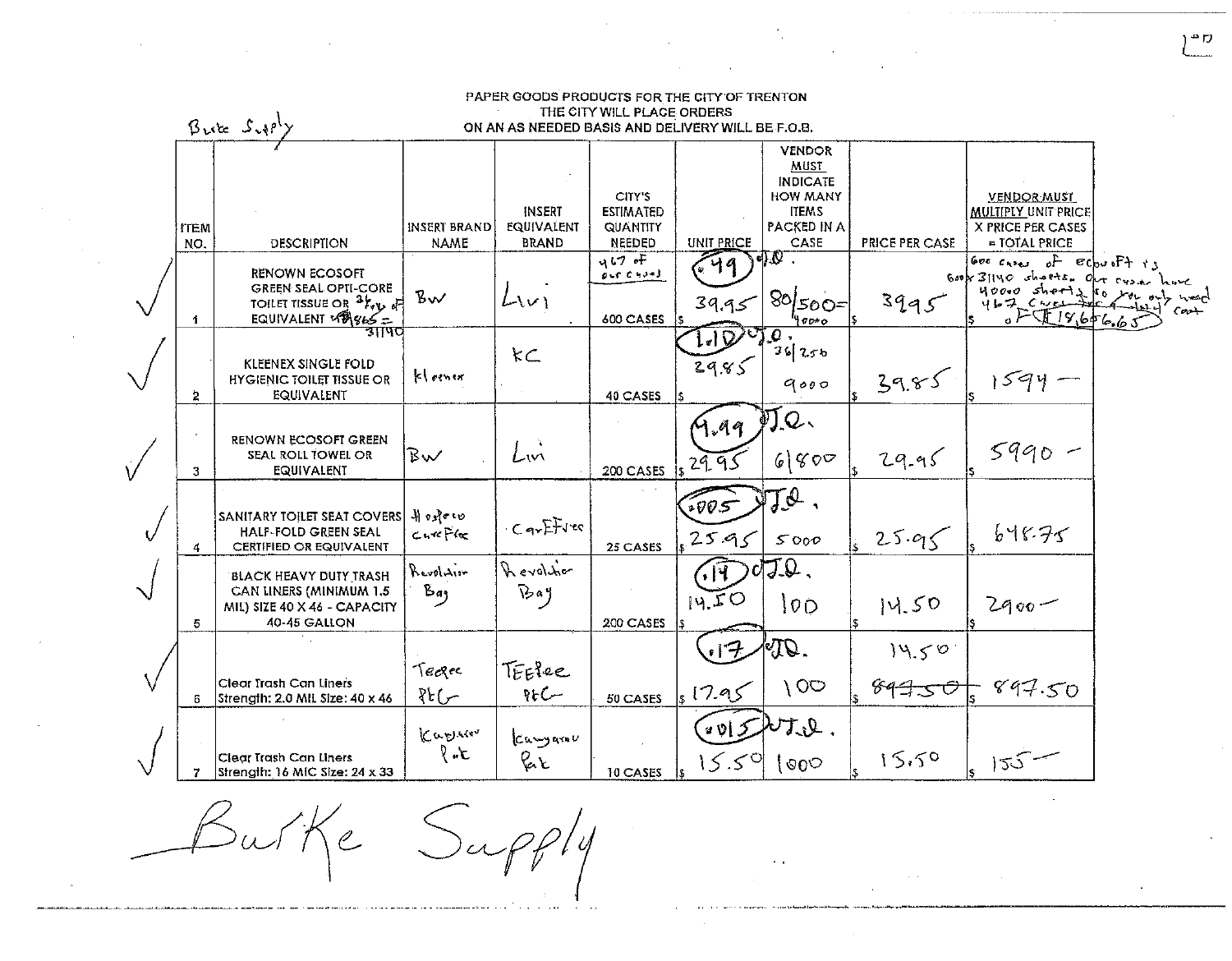|           |                    | $Bute$ $Sup^1$                                                                                                                             |                             | ON AN AS NEEDED BASIS AND DELIVERY WILL BE F.O.B. |                                                              |                      | <b>VENDOR</b>                                                                     |                              |                                                                                                                     |  |
|-----------|--------------------|--------------------------------------------------------------------------------------------------------------------------------------------|-----------------------------|---------------------------------------------------|--------------------------------------------------------------|----------------------|-----------------------------------------------------------------------------------|------------------------------|---------------------------------------------------------------------------------------------------------------------|--|
|           | <b>ITEM</b><br>NO. | DESCRIPTION                                                                                                                                | INSERT BRAND<br><b>NAME</b> | INSERT<br>EQUIVALENT<br><b>BRAND</b>              | CITY'S<br><b>ESTIMATED</b><br>QUANTITY<br>NEEDED             | UNIT PRICE           | MUST<br><b>INDICATE</b><br><b>HOW MANY</b><br><b>ITEMS</b><br>PACKED IN A<br>CASE | <b>PRICE PER CASE</b>        | <b>VENDOR MUST</b><br><b>MULTIPLY UNIT PRICE</b><br>X PRICE PER CASES<br>$=$ TOTAL PRICE                            |  |
|           | 1.                 | <b>RENOWN ECOSOFT</b><br><b>GREEN SEAL OPTI-CORE</b><br>TOILET TISSUE OR <sup>3</sup> /v <sub>V</sub> P<br>FOILET ISSUE - EQUIVALENT VALUE | $B_{\mathbf{v}}$            | $L_{V}$                                           | $467$ of<br>$0 \rightarrow C \rightarrow J - J$<br>600 CASES | 49<br>39.95          | $\sqrt{2}$<br>$80 500=$<br>40000                                                  | 3995                         | Good cases of $\varepsilon$ coupft is<br>Good $3140$ charts. Our cyse<br>$40000$ sheets<br>$467$ Creek<br>655196566 |  |
|           | $\ddot{z}$         | <b>KLEENEX SINGLE FOLD</b><br><b>HYGIENIC TOILET TISSUE OR</b><br>EQUIVALENT                                                               | kleinin                     | kC                                                | 40 CASES                                                     | 1.100<br>2985        | $\boldsymbol{\varrho}$ .<br>36250<br>9000                                         | 39.85                        | $1594 -$                                                                                                            |  |
|           | 3                  | RENOWN ECOSOFT GREEN<br>SEAL ROLL TOWEL OR<br>EQUIVALENT                                                                                   | BW                          | Lin                                               | 200 CASES                                                    | Y.a9<br>29.95        | 刃Q、<br>6800                                                                       | 29.95                        | $5990 -$                                                                                                            |  |
| v         | 4                  | SANITARY TOILET SEAT COVERS   4 DRe to<br><b>HALF-FOLD GREEN SEAL</b><br><b>CERTIFIED OR EQUIVALENT</b>                                    | $C - C$ $C$                 | $C_T$ $F$ $\rightarrow$                           | 25 CASES                                                     | 1005<br>2595         | JI.<br>5000                                                                       | 25.95                        | 648.75                                                                                                              |  |
| $\sqrt{}$ | 5.                 | <b>BLACK HEAVY DUTY TRASH</b><br>CAN LINERS (MINIMUM 1.5<br>MII) SIZE 40 X 46 - CAPACITY<br>40-45 GALLON                                   | Revolution<br>وهكا          | Revoltion<br>$\sqrt{3}a$                          | 200 CASES                                                    | $\sqrt{14}$<br>14.50 | $\sigma J Q$ .<br>$ 00\rangle$                                                    | 14.50                        | $2900 -$                                                                                                            |  |
|           | 6.                 | Clear Trash Can Liners<br>Strength: 2.0 MIL Size: 40 x 46                                                                                  | Tecrec<br>Rc                | TEElee<br>$85C -$                                 | 50 CASES                                                     | .17<br>. 17.95       | VQ.<br>$\sqrt{0}$                                                                 | 14.50<br>69 <del>1.s O</del> | 897.50                                                                                                              |  |
|           |                    | Clear Trash Can Liners<br>Strength: 16 MIC Size: 24 x 33                                                                                   | Kapare<br>$\mathcal{F}$     | Camparou<br><b>Par</b>                            | <b>10 CASES</b>                                              | 20I J<br>$5.5^\circ$ | 叮贝<br>$\circ$ 00                                                                  | 15.50                        | $155 -$                                                                                                             |  |

 $\sim 10^7$ 

Burke Supply

 $\label{eq:2.1} \mathcal{L}(\mathcal{L}(\mathcal{L})) = \mathcal{L}(\mathcal{L}(\mathcal{L})) = \mathcal{L}(\mathcal{L}(\mathcal{L})) = \mathcal{L}(\mathcal{L}(\mathcal{L})) = \mathcal{L}(\mathcal{L}(\mathcal{L})) = \mathcal{L}(\mathcal{L}(\mathcal{L})) = \mathcal{L}(\mathcal{L}(\mathcal{L})) = \mathcal{L}(\mathcal{L}(\mathcal{L})) = \mathcal{L}(\mathcal{L}(\mathcal{L})) = \mathcal{L}(\mathcal{L}(\mathcal{L})) = \mathcal{L}(\mathcal{L}(\mathcal{L})) = \math$ 

רים (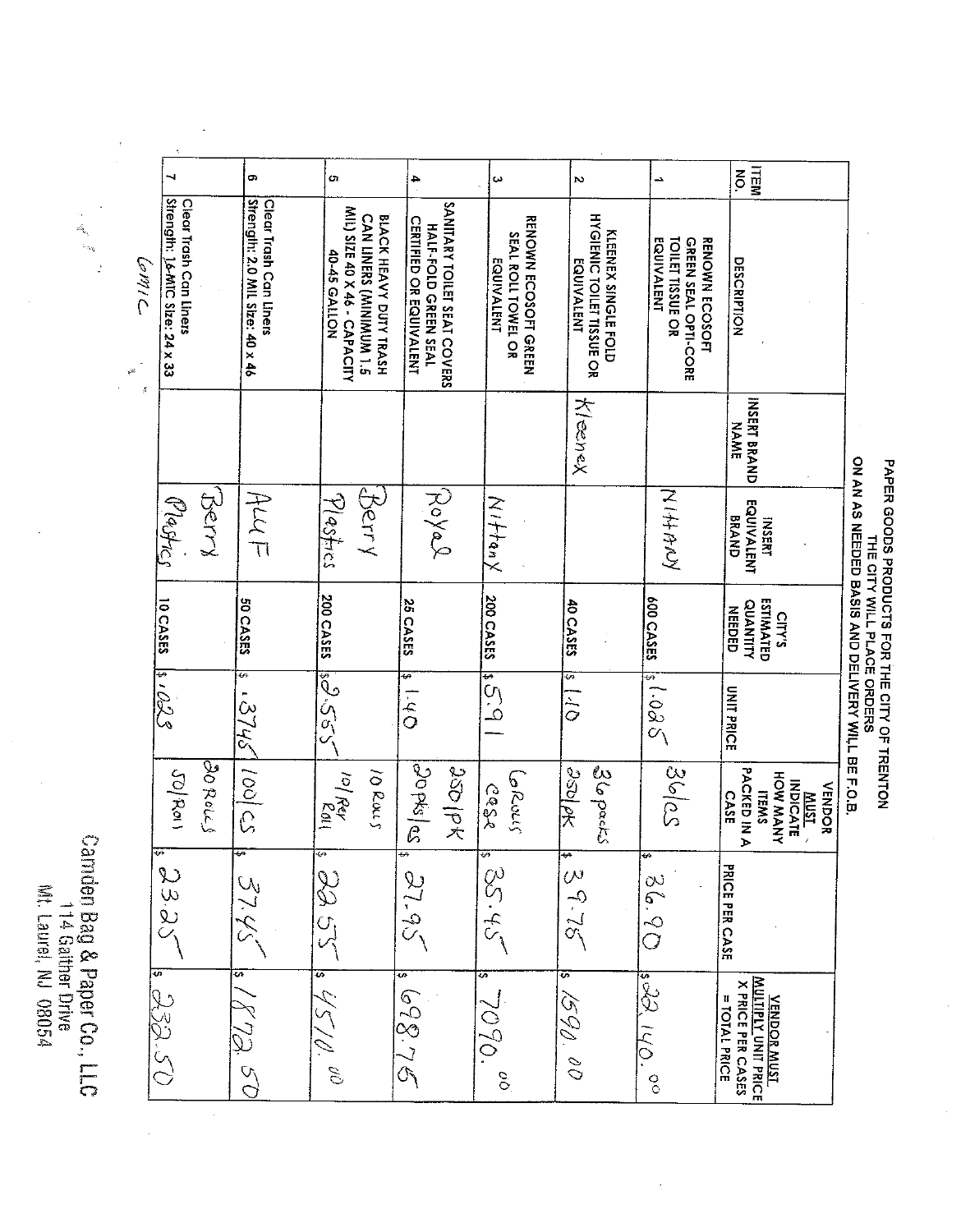Carnden Bag & Paper Co., LLC Wt Laurel, NJ 08054 114 Gaither Drive

**ITEM** o, o.  $\overline{a}$ w N j. Clear Trash Can Liners<br>Strength: 2.0 MIL Size: 40 x 46 Clear Trash Can Liners<br>Strength: 14-MIC Size: 24 x 33 SANITARY TOILET SEAT COVERS MIL) SIZE 40 X 46 - CAPACITY **KLEENEX SINGLE FOLD<br>HYGIENIC TOILET TISSUE OR** CAN LINERS (MINIMUM 1.5 BLACK HEAVY DUTY TRASH HALF-FOLD GREEN SEAL<br>CERTIFIED OR EQUIVALENT **RENOWN ECOSOFT GREEN** SEAL ROLL TOWEL OR **GREEN SEAL OPTI-CORE**<br>TOILET TISSUE OR **RENOWN ECOSOFT** EQUIVALENT 40-45 GALLON **EQUIVALENT** EQUIVALENT **DESCRIPTION** Klenex **INSERT BRAND NAME** Bery Beny Plastics Poyal Mastres  $4\mu$ 又子子 **INSERT<br>EQUIVALENT** Nittany **BRAND** 200 CASES **200 CASES ESTIMATED<br>QUANTITY<br>NEEDED 10 CASES** 600 CASES **SOCASES 25 CASES 40 CASES CITY'S**  $|15.3|$  $S80.19$ 820's ESS CS  $O<sup>1</sup>$ 5  $57/15$  $rac{1}{\tilde{Q}}$ **UNIT PRICE**  $|30 \text{ kpc}|$  $\frac{1}{2}$ BOROL'S  $\frac{1}{256}$  $|36|$ cs I Rey<br>Pay **SSD PK** 36 packs **PACKED IN A**  $JQ$  $Ra$ 10 Rous HOW MANY الماكنان **MUST**  $5650$ **VENDOR CASE ITEMS PRICE PER CASE** 33  $\omega$ 29  $55.58$  $51.95$  $3745$  $\frac{5}{2}$  $52.5$  $\dot{\mathsf{S}}$  $C_1$  $\frac{1}{\sqrt{2}}$  $\widetilde{C}_{\setminus}$ **VENDOR MUST<br>MULTIPLY UNIT PRICE**<br>MULTIPLY UNIT PRICE  $s\approx 110$ . 05. BEF  $92.86$ 1590. **= TOTAL PRICE** 7090. .<br>رنړ  $\mathcal{O}$  $\mathcal{S}_{\mathcal{O}}$  $\mathscr{C}$  $\frac{1}{2}$  $\frac{6}{5}$ 

ON AN AS NEEDED BASIS AND DELIYERY WILL BE F.O.B. PAPER GOODS PRODUCTS FOR THE CITY OF TRENTON<br>THE CITY WILL PLACE ORDERS

 $\mathbb{R}$ 

 $\label{eq:1} \frac{1}{2} \frac{1}{2} \frac{1}{2} \frac{1}{2} \frac{1}{2} \frac{1}{2} \frac{1}{2} \frac{1}{2} \frac{1}{2} \frac{1}{2} \frac{1}{2} \frac{1}{2} \frac{1}{2} \frac{1}{2} \frac{1}{2} \frac{1}{2} \frac{1}{2} \frac{1}{2} \frac{1}{2} \frac{1}{2} \frac{1}{2} \frac{1}{2} \frac{1}{2} \frac{1}{2} \frac{1}{2} \frac{1}{2} \frac{1}{2} \frac{1}{2} \frac{1}{2} \frac{1}{2} \frac{$ 

**CMIL**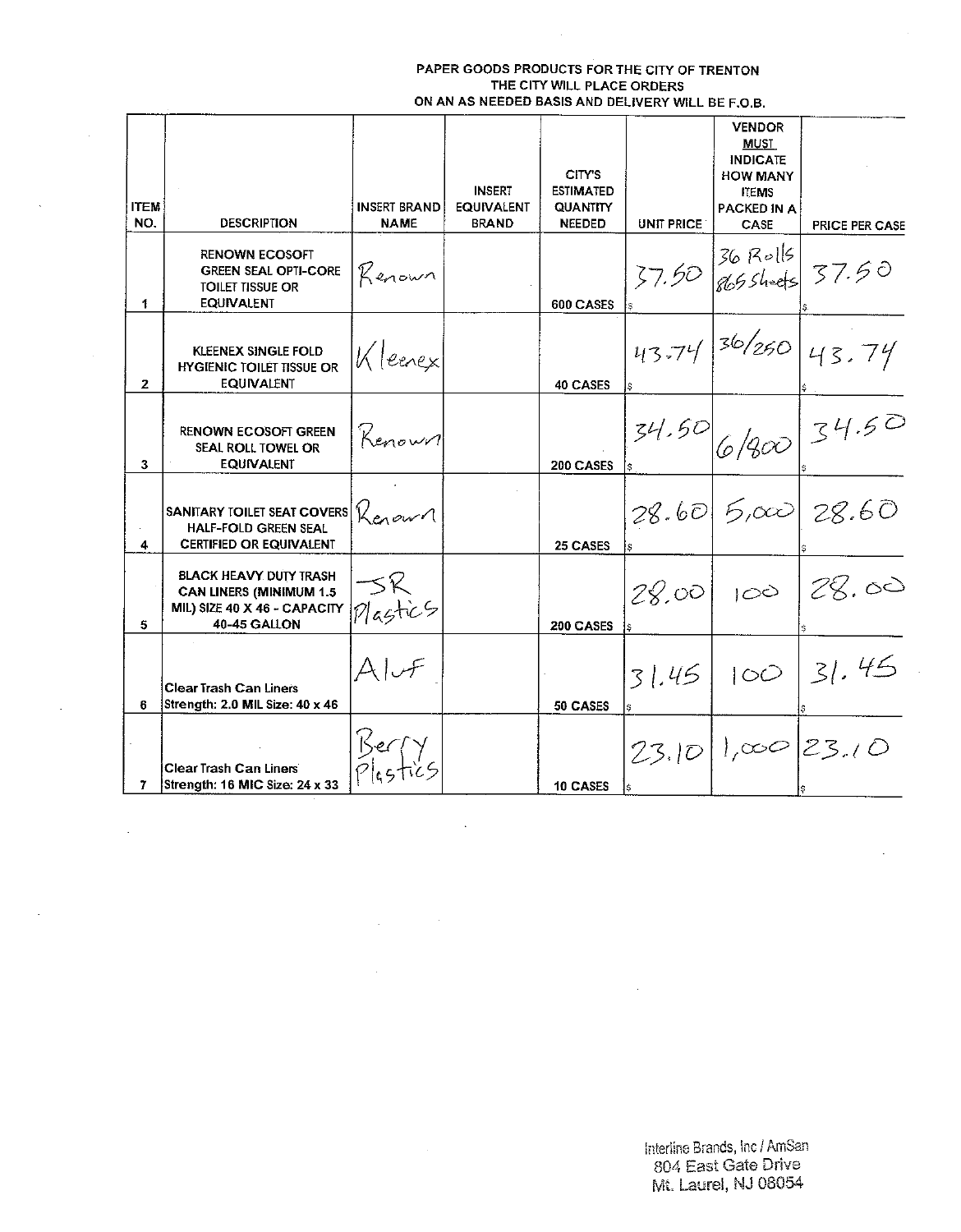| <b>ITEM</b><br>NO. | <b>DESCRIPTION</b>                                                                                       | <b>INSERT BRAND</b><br><b>NAME</b> | <b>INSERT</b><br><b>EQUIVALENT</b><br><b>BRAND</b> | CITY'S<br><b>ESTIMATED</b><br><b>QUANTITY</b><br><b>NEEDED</b> | <b>UNIT PRICE</b> | <b>VENDOR</b><br>must<br><b>INDICATE</b><br><b>HOW MANY</b><br><b>ITEMS</b><br><b>PACKED IN A</b><br>CASE | PRICE PER CASE         |
|--------------------|----------------------------------------------------------------------------------------------------------|------------------------------------|----------------------------------------------------|----------------------------------------------------------------|-------------------|-----------------------------------------------------------------------------------------------------------|------------------------|
| 1.                 | <b>RENOWN ECOSOFT</b><br><b>GREEN SEAL OPTI-CORE</b><br>TOILET TISSUE OR<br>EQUIVALENT                   | Kenown                             |                                                    | 600 CASES                                                      |                   |                                                                                                           | $37.50$ 86 Rolls 37.50 |
| $\mathbf{2}$       | KLEENEX SINGLE FOLD<br><b>HYGIENIC TOILET TISSUE OR</b><br><b>EQUIVALENT</b>                             | Kleenex                            |                                                    | 40 CASES                                                       |                   |                                                                                                           | 43.74 36/250 43.74     |
| 3                  | <b>RENOWN ECOSOFT GREEN</b><br>SEAL ROLL TOWEL OR<br><b>EQUIVALENT</b>                                   | Kenown                             |                                                    | 200 CASES                                                      |                   |                                                                                                           | 34.50 6/800 34.50      |
| 4                  | <b>SANITARY TOILET SEAT COVERS!</b><br><b>HALF-FOLD GREEN SEAL</b><br><b>CERTIFIED OR EQUIVALENT</b>     | Kenown                             |                                                    | 25 CASES                                                       |                   |                                                                                                           | 28.60 5,000 28.60      |
| 5                  | BLACK HEAVY DUTY TRASH<br>CAN LINERS (MINIMUM 1.5<br>MIL) SIZE 40 X 46 - CAPACITY<br><b>40-45 GALLON</b> | づく<br>Plastic5                     |                                                    | 200 CASES                                                      |                   |                                                                                                           | 28.00 100 28.00        |
| 6.                 | <b>Clear Trash Can Liners</b><br>Strength: 2.0 MIL Size: 40 x 46                                         | $A\cup F$                          |                                                    | 50 CASES                                                       |                   |                                                                                                           | 31.45 100 31.45        |
| 7.                 | <b>Clear Trash Can Liners</b><br>Strength: 16 MIC Size: 24 x 33                                          | Berf'                              |                                                    | 10 CASES                                                       |                   |                                                                                                           | 23.1011,00023.10       |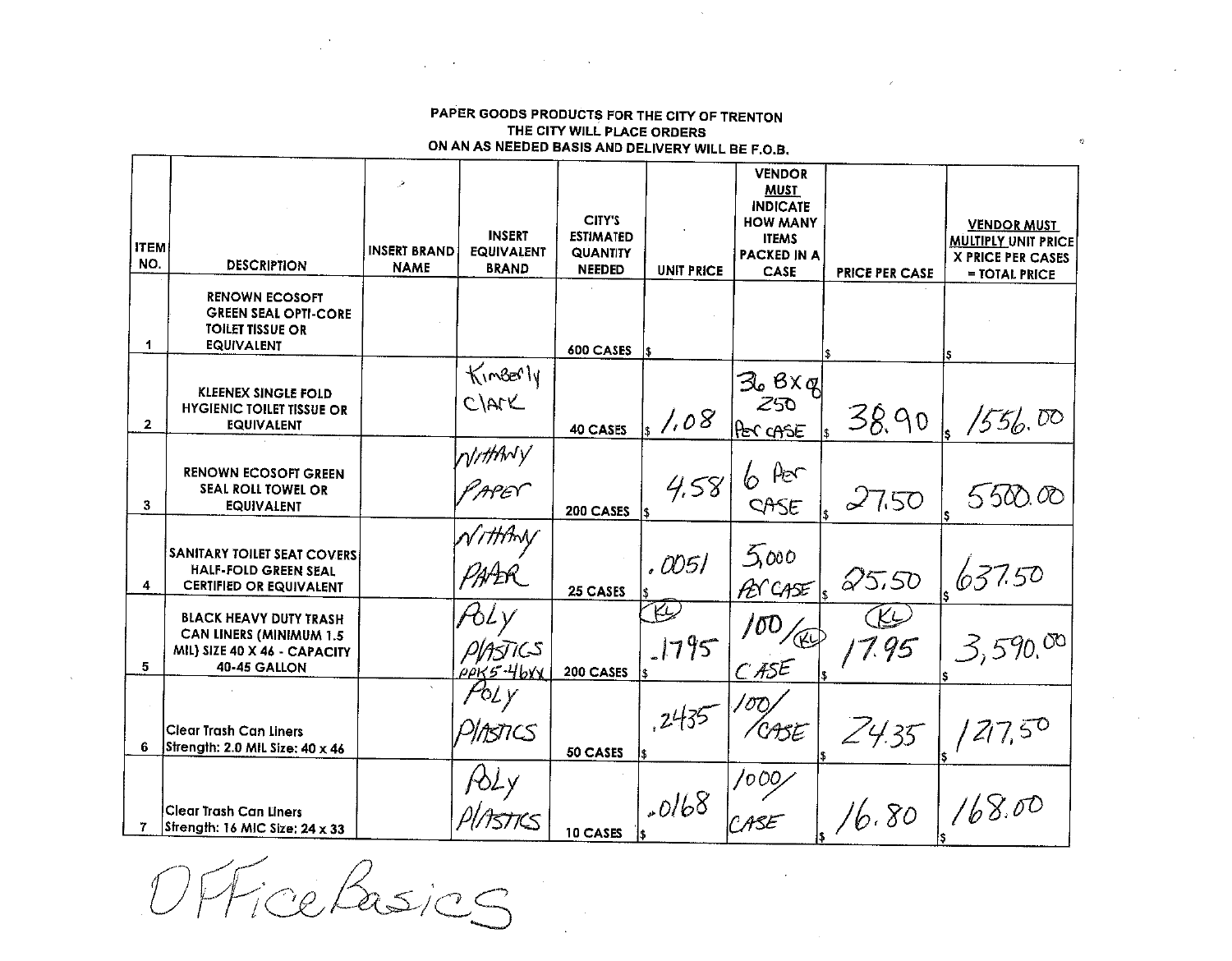OFFiceRasics

 $\sim$ 

| <b>ITEM</b><br>NO. | <b>DESCRIPTION</b>                                                                                              | <b>INSERT BRAND</b><br><b>NAME</b> | <b>INSERT</b><br><b>EQUIVALENT</b><br><b>BRAND</b> | CIIY'S<br><b>ESTIMATED</b><br><b>QUANTITY</b><br><b>NEEDED</b> | <b>UNIT PRICE</b> | <b>HOW MANY</b><br><b>ITEMS</b><br><b>PACKED IN A</b><br><b>CASE</b> | <b>PRICE PER CASE</b> | <b>VENDOR MUST</b><br><b>MULTIPLY UNIT PRICE</b><br><b>X PRICE PER CASES</b><br>= TOTAL PRICE |
|--------------------|-----------------------------------------------------------------------------------------------------------------|------------------------------------|----------------------------------------------------|----------------------------------------------------------------|-------------------|----------------------------------------------------------------------|-----------------------|-----------------------------------------------------------------------------------------------|
| 1                  | <b>RENOWN ECOSOFT</b><br><b>GREEN SEAL OPTI-CORE</b><br><b>TOILET TISSUE OR</b><br><b>EQUIVALENT</b>            |                                    |                                                    | 600 CASES                                                      |                   |                                                                      |                       |                                                                                               |
| $\mathbf{2}$       | <b>KLEENEX SINGLE FOLD</b><br><b>HYGIENIC TOILET TISSUE OR</b><br><b>EQUIVALENT</b>                             |                                    | KinBerly<br>CIArK                                  | 40 CASES                                                       | 1.08              | Zo BX g <br>Z50<br>PER CASE                                          | 38.90                 | 1556.00                                                                                       |
| 3                  | <b>RENOWN ECOSOFT GREEN</b><br>SEAL ROLL TOWEL OR<br><b>EQUIVALENT</b>                                          |                                    | Nuttyny<br>IAPEY"                                  | 200 CASES                                                      | 4,58<br>is.       | $\mu_{\mathcal{E}}$<br>6<br>CASE                                     | 27.50                 | 550000                                                                                        |
| 4                  | <b>SANITARY TOILET SEAT COVERS</b><br><b>HALF-FOLD GREEN SEAL</b><br><b>CERTIFIED OR EQUIVALENT</b>             |                                    | <i>\//ttm</i><br>PAAR                              | 25 CASES                                                       | . OO 5 l          | 5000<br>PET CASE                                                     | 25.50                 | 637.50                                                                                        |
| 5.                 | <b>BLACK HEAVY DUTY TRASH</b><br><b>CAN LINERS (MINIMUM 1.5</b><br>MIL) SIZE 40 X 46 - CAPACITY<br>40-45 GALLON |                                    | PIASTICS<br>ρρκ5-4bXX                              | 200 CASES                                                      | K<br>.1795        | 700<br>C ASE                                                         | 1.95                  | 3,590,00                                                                                      |
| 6                  | Clear Trash Can Liners<br>Strength: 2.0 MIL Size: 40 x 46                                                       |                                    | ASTICS                                             | 50 CASES                                                       | .2435             | CASE                                                                 | Z4.35                 |                                                                                               |
|                    | Clear Trash Can Liners<br>Strength: 16 MIC Size: 24 x 33                                                        |                                    |                                                    | 10 CASES                                                       | .0168             | 1000<br>° ASE                                                        | 16.80                 | 168.00                                                                                        |

PAPER GOODS PRODUCTS FOR THE CITY OF TRENTON THE CITY WILL PLACE ORDERS ON AN AS NEEDED BASIS AND DELIVERY WILL BE F.O.B.  $\mathcal{L}$ 

**VENDOR** 

**MUST INDICATE**   $\mathfrak{S}$ 

 $\sim 10^{-1}$ 

 $\sim$ 

 $\mathcal{L}_{\mathcal{A}}$  and  $\mathcal{L}_{\mathcal{A}}$  are the set of the set of the set of the  $\mathcal{L}_{\mathcal{A}}$ 

 $\rightarrow$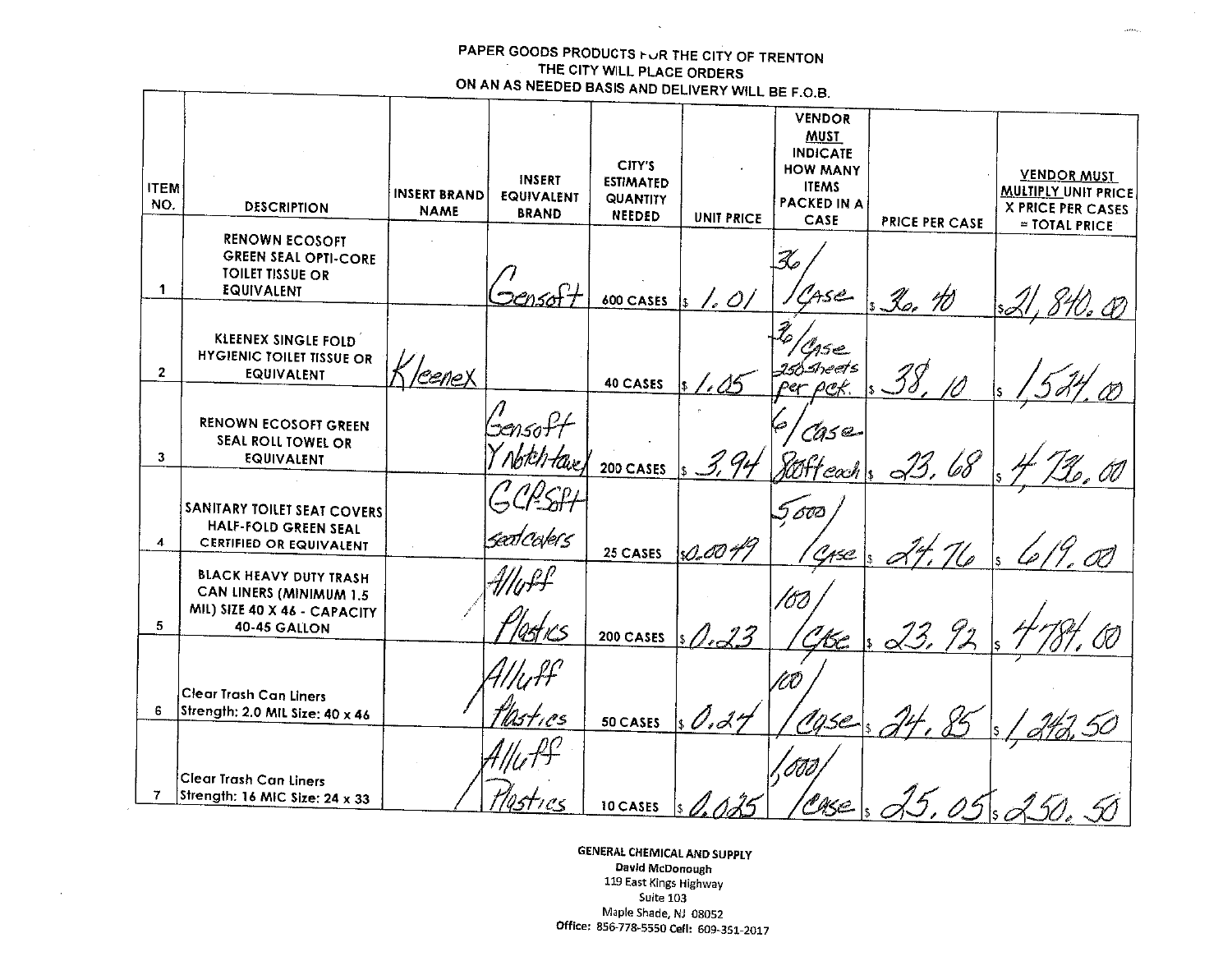⊤

 $\sim$   $\sim$ 

 $\sim 10^{-1}$ 

 $\Delta$ 

| <b>ITEM</b><br>NO. | <b>DESCRIPTION</b>                                                                                       | <b>INSERT BRAND</b> | <b>INSERT</b><br><b>EQUIVALENT</b>    | CITY'S<br><b>ESTIMATED</b><br><b>QUANTITY</b> |                   | <b>VENDOR</b><br><u>MUST</u><br><b>INDICATE</b><br><b>HOW MANY</b><br><b>ITEMS</b><br><b>PACKED IN A</b> |                       | <b>VENDOR MUST</b><br><b>MULTIPLY UNIT PRICE</b><br><b>X PRICE PER CASES</b> |
|--------------------|----------------------------------------------------------------------------------------------------------|---------------------|---------------------------------------|-----------------------------------------------|-------------------|----------------------------------------------------------------------------------------------------------|-----------------------|------------------------------------------------------------------------------|
|                    |                                                                                                          | <b>NAME</b>         | <b>BRAND</b>                          | NEEDED                                        | <b>UNIT PRICE</b> | CASE                                                                                                     | <b>PRICE PER CASE</b> | = TOTAL PRICE                                                                |
| $\mathbf 1$        | <b>RENOWN ECOSOFT</b><br><b>GREEN SEAL OPTI-CORE</b><br><b>TOILET TISSUE OR</b><br>EQUIVALENT            |                     |                                       | 600 CASES                                     |                   | Ase                                                                                                      | 3o, 10                |                                                                              |
| $\overline{2}$     | KLEENEX SINGLE FOLD<br><b>HYGIENIC TOILET TISSUE OR</b><br>EQUIVALENT                                    | <u>leeneX</u>       |                                       | 40 CASES                                      |                   | $shest$ s<br>⊵er p <u>e</u> £                                                                            |                       |                                                                              |
| 3                  | <b>RENOWN ECOSOFT GREEN</b><br>SEAL ROLL TOWEL OR<br><b>EQUIVALENT</b>                                   |                     | 'Sensoft                              | 200 CASES                                     |                   | CAS Q<br>∕0H e∝h                                                                                         | 68                    |                                                                              |
| 4                  | SANITARY TOILET SEAT COVERS<br>HALF-FOLD GREEN SEAL<br><b>CERTIFIED OR EQUIVALENT</b>                    |                     | seot Cole(s                           | 25 CASES                                      | <u>D-</u> 80 %    | 60C<br>N ASC                                                                                             |                       |                                                                              |
| 5                  | <b>BLACK HEAVY DUTY TRASH</b><br>CAN LINERS (MINIMUM 1.5<br>MIL) SIZE 40 X 46 - CAPACITY<br>40-45 GALLON |                     | $#$ llu $\ell \ell^{\rho}$<br>4st K.S | 200 CASES                                     | 13                |                                                                                                          |                       |                                                                              |
| 6                  | Clear Trash Can Liners<br>Strength: 2.0 MIL Size: 40 x 46                                                |                     | Wasties                               | 50 CASES                                      | 0.27              | 16c<br>Agse                                                                                              | $\alpha$              |                                                                              |
| $\overline{7}$     | Clear Trash Can Liners<br>Strength: 16 MIC Size: 24 x 33                                                 |                     |                                       |                                               |                   |                                                                                                          |                       |                                                                              |
|                    |                                                                                                          |                     | 70stres                               | 10 CASES                                      |                   |                                                                                                          |                       | 250 <sub>e</sub>                                                             |

**GENERAL CHEMICAL AND SUPPLY** David McDonough 119 East Kings Highway Suite 103 Maple Shade, NJ 08052 Office: 856-778-5550 Cell: 609-351-2017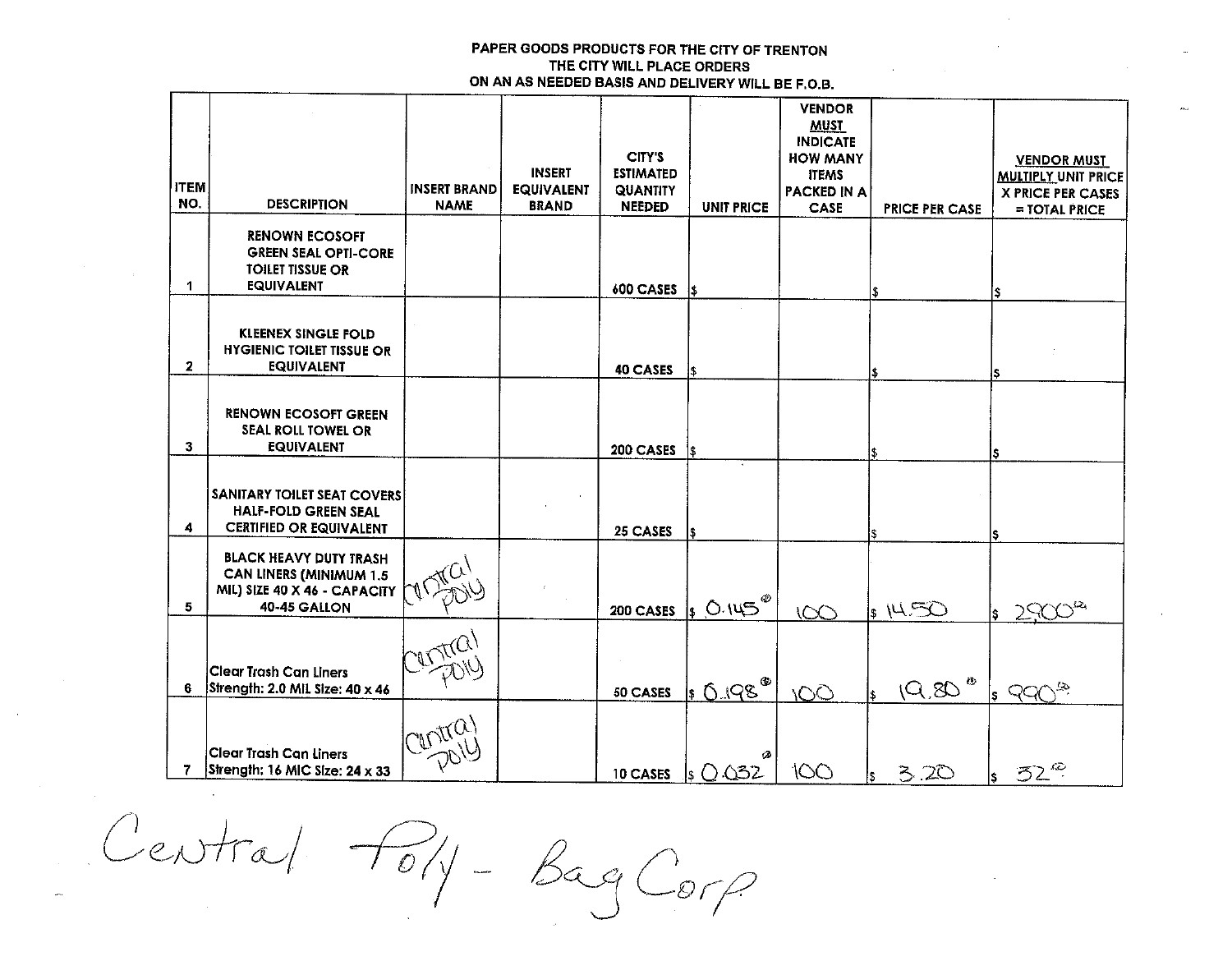|              |                                                       |                     |                   |                            |                      | <b>VENDOR</b><br><b>MUST</b>       |                       |                                                        |
|--------------|-------------------------------------------------------|---------------------|-------------------|----------------------------|----------------------|------------------------------------|-----------------------|--------------------------------------------------------|
|              |                                                       |                     |                   |                            |                      | <b>INDICATE</b>                    |                       |                                                        |
|              |                                                       |                     | <b>INSERT</b>     | CITY'S<br><b>ESTIMATED</b> |                      | <b>HOW MANY</b>                    |                       | <b>VENDOR MUST</b>                                     |
| <b>ITEM</b>  |                                                       | <b>INSERT BRAND</b> | <b>EQUIVALENT</b> | <b>QUANTITY</b>            |                      | <b>ITEMS</b><br><b>PACKED IN A</b> |                       | <b>MULTIPLY UNIT PRICE</b><br><b>X PRICE PER CASES</b> |
| NO.          | <b>DESCRIPTION</b>                                    | <b>NAME</b>         | <b>BRAND</b>      | <b>NEEDED</b>              | <b>UNIT PRICE</b>    | CASE                               | <b>PRICE PER CASE</b> | $=$ TOTAL PRICE                                        |
|              | <b>RENOWN ECOSOFT</b>                                 |                     |                   |                            |                      |                                    |                       |                                                        |
|              | <b>GREEN SEAL OPTI-CORE</b>                           |                     |                   |                            |                      |                                    |                       |                                                        |
|              | <b>TOILET TISSUE OR</b>                               |                     |                   |                            |                      |                                    |                       |                                                        |
| 1            | <b>EQUIVALENT</b>                                     |                     |                   | 600 CASES                  | \$                   |                                    |                       |                                                        |
|              |                                                       |                     |                   |                            |                      |                                    |                       |                                                        |
|              | <b>KLEENEX SINGLE FOLD</b>                            |                     |                   |                            |                      |                                    |                       |                                                        |
| $\mathbf{2}$ | <b>HYGIENIC TOILET TISSUE OR</b><br><b>EQUIVALENT</b> |                     |                   | 40 CASES                   | \$                   |                                    |                       |                                                        |
|              |                                                       |                     |                   |                            |                      |                                    |                       | s                                                      |
|              | <b>RENOWN ECOSOFT GREEN</b>                           |                     |                   |                            |                      |                                    |                       |                                                        |
|              | SEAL ROLL TOWEL OR                                    |                     |                   |                            |                      |                                    |                       |                                                        |
| 3            | <b>EQUIVALENT</b>                                     |                     |                   | 200 CASES                  | 1\$                  |                                    |                       | S                                                      |
|              |                                                       |                     |                   |                            |                      |                                    |                       |                                                        |
|              | SANITARY TOILET SEAT COVERS                           |                     |                   |                            |                      |                                    |                       |                                                        |
|              | <b>HALF-FOLD GREEN SEAL</b>                           |                     |                   |                            |                      |                                    |                       |                                                        |
| 4            | <b>CERTIFIED OR EQUIVALENT</b>                        |                     |                   | 25 CASES                   | I\$.                 |                                    |                       |                                                        |
|              | <b>BLACK HEAVY DUTY TRASH</b>                         |                     |                   |                            |                      |                                    |                       |                                                        |
|              | <b>CAN LINERS (MINIMUM 1.5</b>                        |                     |                   |                            |                      |                                    |                       |                                                        |
| 5            | MIL) SIZE 40 X 46 - CAPACITY<br>40-45 GALLON          |                     |                   | 200 CASES                  | $50.145^{\circ}$     |                                    | $ s $ 14 $50$         |                                                        |
|              |                                                       |                     |                   |                            |                      | 100                                |                       | is.                                                    |
|              |                                                       |                     |                   |                            |                      |                                    |                       |                                                        |
|              | <b>Clear Trash Can Liners</b>                         |                     |                   |                            |                      |                                    |                       |                                                        |
| 6            | Strength: 2.0 MIL Size: 40 x 46                       |                     |                   | 50 CASES                   | 1 0.198 <sup>®</sup> | <b>IOO</b>                         | Q,Q                   | £2<br>lS.                                              |
|              |                                                       |                     |                   |                            |                      |                                    |                       |                                                        |
|              |                                                       | Witta               |                   |                            |                      |                                    |                       |                                                        |
|              | <b>Clear Trash Can Liners</b>                         |                     |                   |                            |                      |                                    |                       |                                                        |
| 7            | Strength: 16 MIC Size: 24 x 33                        |                     |                   | 10 CASES                   | ls () 032            | 100                                | 3.20                  | $52^{\circ}$<br>l۶.                                    |

Central Poly-BagCorp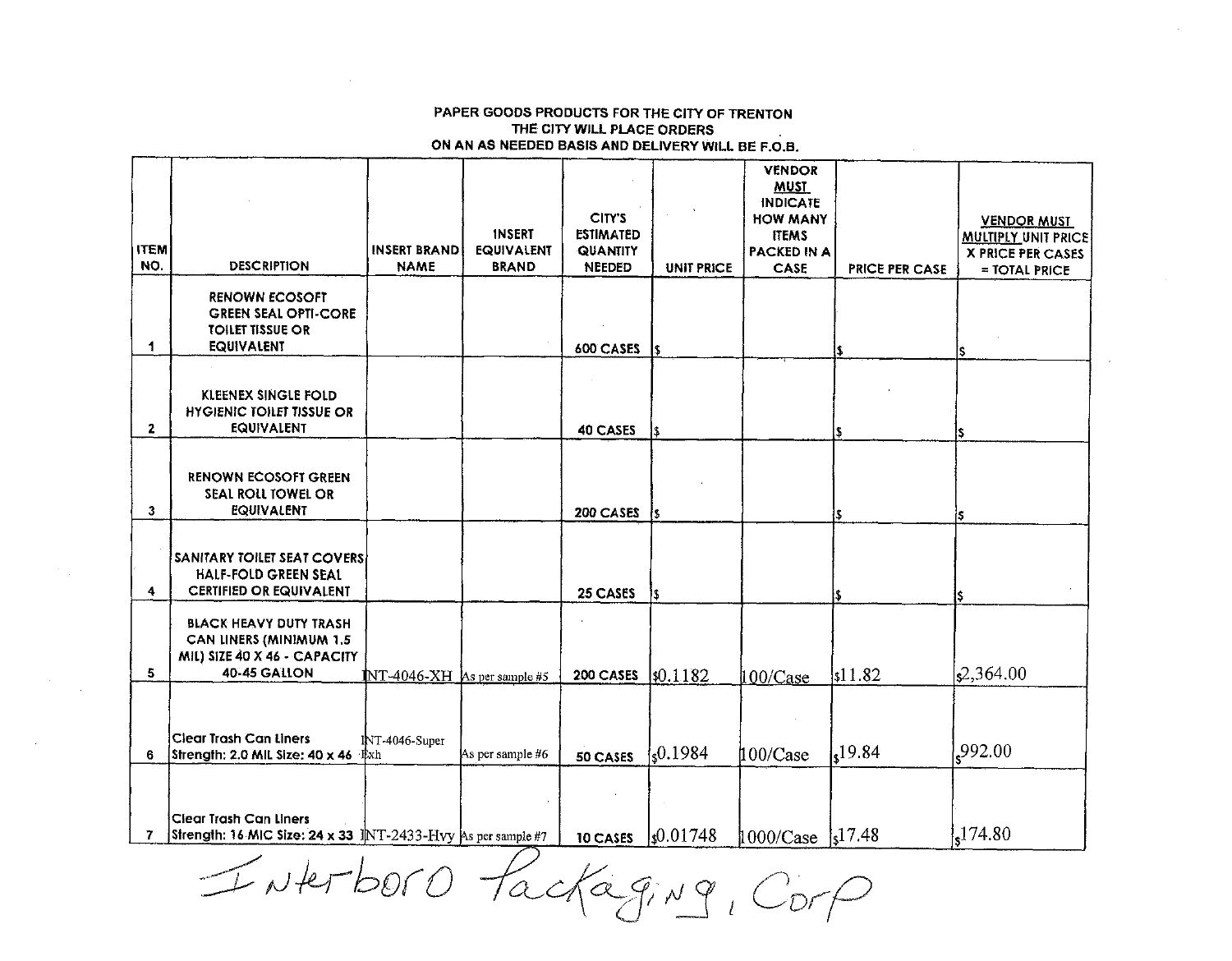INATOOTO Packaging, Corp

 $\mathcal{F}^{\text{c}}(\mathcal{A})$ 

 $\label{eq:2} \frac{1}{\sqrt{2}}\left(\frac{1}{\sqrt{2}}\right)^{2} \left(\frac{1}{\sqrt{2}}\right)^{2}$ 

| <b>ITEM</b><br>NO. | <b>DESCRIPTION</b>                                                                                              | <b>INSERT BRAND</b><br><b>NAME</b> | <b>INSERT</b><br><b>EQUIVALENT</b><br><b>BRAND</b> | CITY'S<br><b>ESTIMATED</b><br>QUANTITY<br><b>NEEDED</b> | <b>UNIT PRICE</b>    | <b>VENDOR</b><br>MUST<br><b>INDICATE</b><br><b>HOW MANY</b><br><b>ITEMS</b><br><b>PACKED IN A</b><br>CASE | <b>PRICE PER CASE</b> | <u>VENDOR MUST</u><br><b>MULTIPLY UNIT PRICE</b><br><b>X PRICE PER CASES</b><br>$=$ TOTAL PRICE |
|--------------------|-----------------------------------------------------------------------------------------------------------------|------------------------------------|----------------------------------------------------|---------------------------------------------------------|----------------------|-----------------------------------------------------------------------------------------------------------|-----------------------|-------------------------------------------------------------------------------------------------|
| 1                  | <b>RENOWN ECOSOFT</b><br><b>GREEN SEAL OPTI-CORE</b><br><b>TOILET TISSUE OR</b><br><b>EQUIVALENT</b>            |                                    |                                                    | 600 CASES                                               | S                    |                                                                                                           |                       |                                                                                                 |
| $\mathbf{2}$       | KLEENEX SINGLE FOLD<br><b>HYGIENIC TOILET TISSUE OR</b><br><b>EQUIVALENT</b>                                    |                                    |                                                    | 40 CASES                                                | l\$.                 |                                                                                                           |                       |                                                                                                 |
| 3                  | <b>RENOWN ECOSOFT GREEN</b><br>SEAL ROLL TOWEL OR<br>EQUIVALENT                                                 |                                    |                                                    | 200 CASES                                               | is.                  |                                                                                                           |                       | ls.                                                                                             |
| 4.                 | <b>SANITARY TOILET SEAT COVERS</b><br>HALF-FOLD GREEN SEAL<br><b>CERTIFIED OR EQUIVALENT</b>                    |                                    |                                                    | 25 CASES                                                | 13.                  |                                                                                                           |                       | I\$.                                                                                            |
| 5.                 | <b>BLACK HEAVY DUTY TRASH</b><br>CAN LINERS (MINIMUM 1.5<br>MIL) SIZE 40 X 46 - CAPACITY<br><b>40 45 GALLON</b> | $NT-4046-XH$ As per sample #5      |                                                    | 200 CASES                                               | \$0.1182             | 100/Case                                                                                                  | 11.82                 | $\vert$ s <sup>2</sup> ,364.00                                                                  |
| 6                  | <b>Clear Trash Can Liners</b><br>Strength: 2.0 MIL Size: 40 x 46 Exh                                            | INT-4046-Super                     | As per sample #6                                   | 50 CASES                                                | $\{0.1984\}$         | $100/C$ ase                                                                                               | 19.84                 | ,992.00                                                                                         |
| 7                  | <b>Clear Trash Can Liners</b><br>Strength: 16 MIC Size: 24 x 33 INT-2433-Hvy As per sample #7                   |                                    |                                                    | 10 CASES                                                | $\frac{1}{2}0.01748$ | $1000/Case$  s <sup>17.48</sup>                                                                           |                       | 174.80                                                                                          |

PAPER GOODS PRODUCTS FOR THE CITY OF TRENTON THE CITY WILL PLACE ORDERS ON AN AS NEEDED BASIS AND DELIVERY WILL BE F.O.B.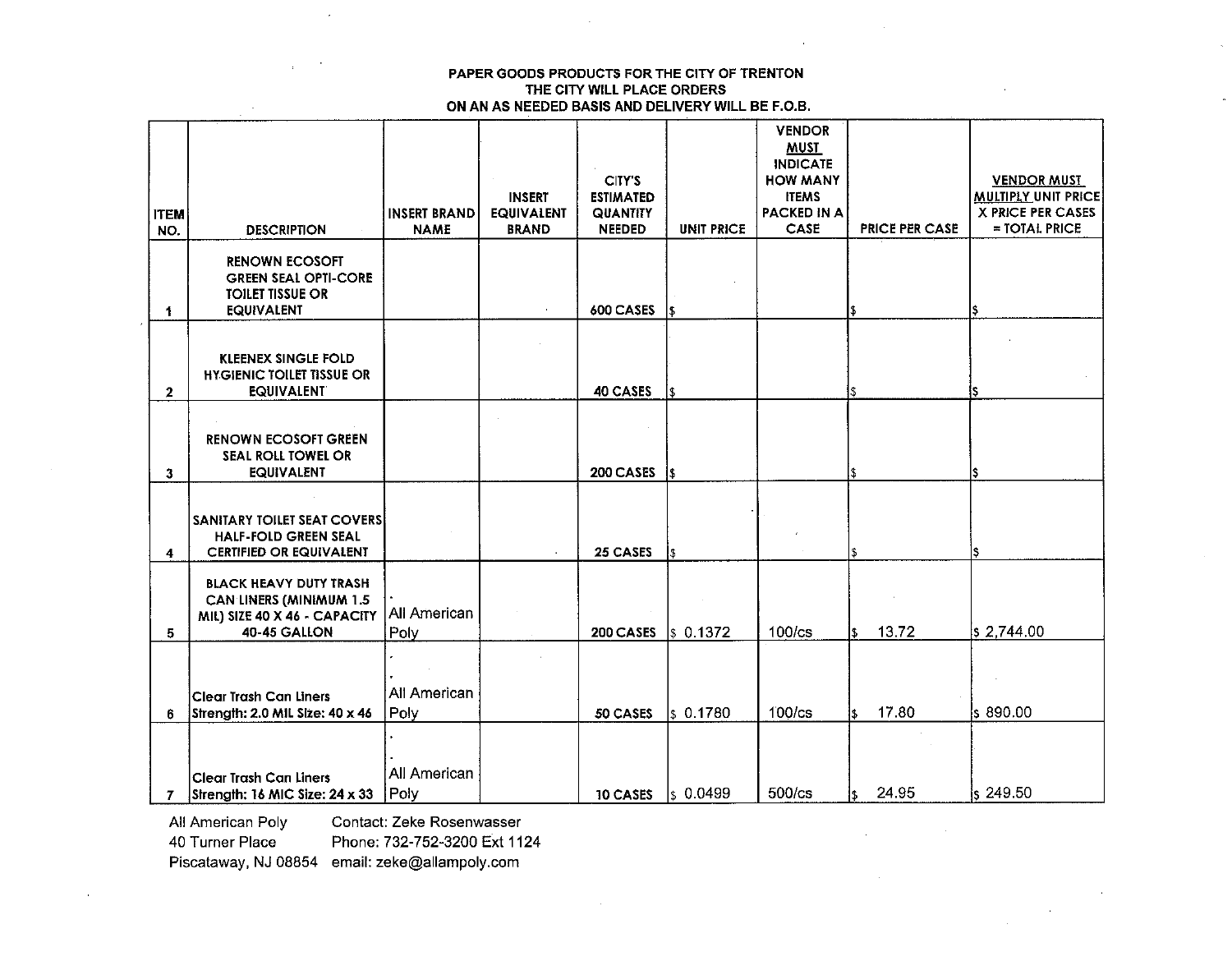|              |                                                                |                     |                   |                  |                      | <b>VENDOR</b><br><b>MUST</b> |                       |                            |
|--------------|----------------------------------------------------------------|---------------------|-------------------|------------------|----------------------|------------------------------|-----------------------|----------------------------|
|              |                                                                |                     |                   |                  |                      | <b>INDICATE</b>              |                       |                            |
|              |                                                                |                     |                   | CITY'S           |                      | <b>HOW MANY</b>              |                       | <b>VENDOR MUST</b>         |
|              |                                                                |                     | <b>INSERT</b>     | <b>ESTIMATED</b> |                      | <b>ITEMS</b>                 |                       | <b>MULTIPLY UNIT PRICE</b> |
| <b>ITEM</b>  |                                                                | <b>INSERT BRAND</b> | <b>EQUIVALENT</b> | <b>QUANTITY</b>  |                      | <b>PACKED IN A</b>           |                       | <b>X PRICE PER CASES</b>   |
| NO.          | <b>DESCRIPTION</b>                                             | <b>NAME</b>         | <b>BRAND</b>      | <b>NEEDED</b>    | <b>UNIT PRICE</b>    | CASE                         | <b>PRICE PER CASE</b> | $=$ TOTAL PRICE            |
|              | <b>RENOWN ECOSOFT</b>                                          |                     |                   |                  |                      |                              |                       |                            |
|              | <b>GREEN SEAL OPTI-CORE</b>                                    |                     |                   |                  |                      |                              |                       |                            |
|              | <b>TOILET TISSUE OR</b>                                        |                     |                   |                  |                      |                              |                       |                            |
| 1.           | <b>EQUIVALENT</b>                                              |                     |                   | 600 CASES        |                      |                              | l\$                   |                            |
|              |                                                                |                     |                   |                  |                      |                              |                       |                            |
|              | <b>KLEENEX SINGLE FOLD</b>                                     |                     |                   |                  |                      |                              |                       |                            |
|              | <b>HYGIENIC TOILET TISSUE OR</b>                               |                     |                   |                  |                      |                              |                       |                            |
| $\mathbf{2}$ | <b>EQUIVALENT</b>                                              |                     |                   | 40 CASES         | \$                   |                              |                       |                            |
|              |                                                                |                     |                   |                  |                      |                              |                       |                            |
|              | <b>RENOWN ECOSOFT GREEN</b>                                    |                     |                   |                  |                      |                              |                       |                            |
|              | SEAL ROLL TOWEL OR                                             |                     |                   |                  |                      |                              |                       |                            |
| $\mathbf{3}$ | <b>EQUIVALENT</b>                                              |                     |                   | 200 CASES        | l\$                  |                              |                       | ls                         |
|              |                                                                |                     |                   |                  |                      |                              |                       |                            |
|              | <b>SANITARY TOILET SEAT COVERS</b>                             |                     |                   |                  |                      |                              |                       |                            |
|              | <b>HALF-FOLD GREEN SEAL</b>                                    |                     |                   |                  |                      |                              |                       |                            |
| 4            | <b>CERTIFIED OR EQUIVALENT</b>                                 |                     |                   | 25 CASES         |                      |                              |                       | IS                         |
|              |                                                                |                     |                   |                  |                      |                              |                       |                            |
|              | <b>BLACK HEAVY DUTY TRASH</b>                                  |                     |                   |                  |                      |                              |                       |                            |
|              | <b>CAN LINERS (MINIMUM 1.5</b><br>MIL) SIZE 40 X 46 - CAPACITY | All American        |                   |                  |                      |                              |                       |                            |
| 5.           | 40-45 GALLON                                                   | Poly                |                   | 200 CASES        | \$0.1372             | 100/cs                       | 13.72<br>ß.           | $ s\>2,744.00$             |
|              |                                                                |                     |                   |                  |                      |                              |                       |                            |
|              |                                                                |                     |                   |                  |                      |                              |                       |                            |
|              | <b>Clear Trash Can Liners</b>                                  | All American        |                   |                  |                      |                              |                       |                            |
| 6.           | Strength: 2.0 MIL Size: 40 x 46                                | Poly                |                   | 50 CASES         | s 0.1780             | 100/cs                       | 17.80<br>l\$.         | ls 890.00                  |
|              |                                                                |                     |                   |                  |                      |                              |                       |                            |
|              |                                                                |                     |                   |                  |                      |                              |                       |                            |
|              | Clear Trash Can Liners                                         | All American        |                   |                  |                      |                              |                       |                            |
| 7            | Strength: 16 MIC Size: 24 x 33                                 | Poly                |                   | 10 CASES         | $\frac{1}{2}$ 0.0499 | 500/cs                       | 24.95<br>1\$          | $s$ 249.50                 |
|              |                                                                |                     |                   |                  |                      |                              |                       |                            |

All American Poly 40 Turner Place

Contact: Zeke Rosenwasser

Phone: 732-752-3200 Ext 1124

Piscataway, NJ 08854 email: zeke@allampoly.com